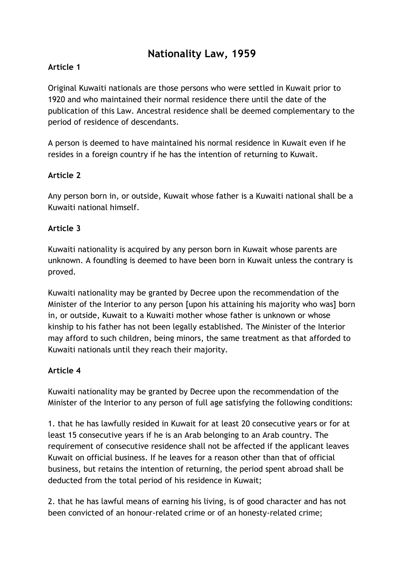# **Nationality Law, 1959**

## **Article 1**

Original Kuwaiti nationals are those persons who were settled in Kuwait prior to 1920 and who maintained their normal residence there until the date of the publication of this Law. Ancestral residence shall be deemed complementary to the period of residence of descendants.

A person is deemed to have maintained his normal residence in Kuwait even if he resides in a foreign country if he has the intention of returning to Kuwait.

#### **Article 2**

Any person born in, or outside, Kuwait whose father is a Kuwaiti national shall be a Kuwaiti national himself.

#### **Article 3**

Kuwaiti nationality is acquired by any person born in Kuwait whose parents are unknown. A foundling is deemed to have been born in Kuwait unless the contrary is proved.

Kuwaiti nationality may be granted by Decree upon the recommendation of the Minister of the Interior to any person [upon his attaining his majority who was] born in, or outside, Kuwait to a Kuwaiti mother whose father is unknown or whose kinship to his father has not been legally established. The Minister of the Interior may afford to such children, being minors, the same treatment as that afforded to Kuwaiti nationals until they reach their majority.

#### **Article 4**

Kuwaiti nationality may be granted by Decree upon the recommendation of the Minister of the Interior to any person of full age satisfying the following conditions:

1. that he has lawfully resided in Kuwait for at least 20 consecutive years or for at least 15 consecutive years if he is an Arab belonging to an Arab country. The requirement of consecutive residence shall not be affected if the applicant leaves Kuwait on official business. If he leaves for a reason other than that of official business, but retains the intention of returning, the period spent abroad shall be deducted from the total period of his residence in Kuwait;

2. that he has lawful means of earning his living, is of good character and has not been convicted of an honour-related crime or of an honesty-related crime;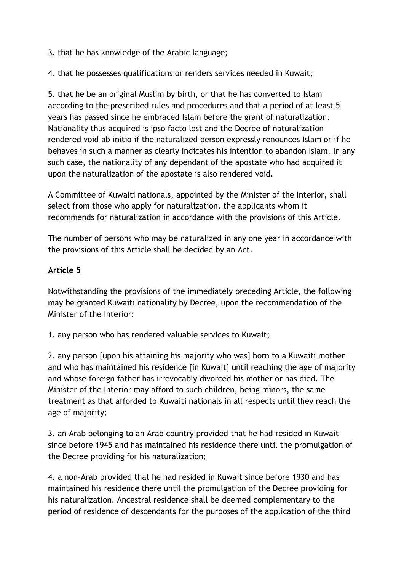3. that he has knowledge of the Arabic language;

4. that he possesses qualifications or renders services needed in Kuwait;

5. that he be an original Muslim by birth, or that he has converted to Islam according to the prescribed rules and procedures and that a period of at least 5 years has passed since he embraced Islam before the grant of naturalization. Nationality thus acquired is ipso facto lost and the Decree of naturalization rendered void ab initio if the naturalized person expressly renounces Islam or if he behaves in such a manner as clearly indicates his intention to abandon Islam. In any such case, the nationality of any dependant of the apostate who had acquired it upon the naturalization of the apostate is also rendered void.

A Committee of Kuwaiti nationals, appointed by the Minister of the Interior, shall select from those who apply for naturalization, the applicants whom it recommends for naturalization in accordance with the provisions of this Article.

The number of persons who may be naturalized in any one year in accordance with the provisions of this Article shall be decided by an Act.

#### **Article 5**

Notwithstanding the provisions of the immediately preceding Article, the following may be granted Kuwaiti nationality by Decree, upon the recommendation of the Minister of the Interior:

1. any person who has rendered valuable services to Kuwait;

2. any person [upon his attaining his majority who was] born to a Kuwaiti mother and who has maintained his residence [in Kuwait] until reaching the age of majority and whose foreign father has irrevocably divorced his mother or has died. The Minister of the Interior may afford to such children, being minors, the same treatment as that afforded to Kuwaiti nationals in all respects until they reach the age of majority;

3. an Arab belonging to an Arab country provided that he had resided in Kuwait since before 1945 and has maintained his residence there until the promulgation of the Decree providing for his naturalization;

4. a non-Arab provided that he had resided in Kuwait since before 1930 and has maintained his residence there until the promulgation of the Decree providing for his naturalization. Ancestral residence shall be deemed complementary to the period of residence of descendants for the purposes of the application of the third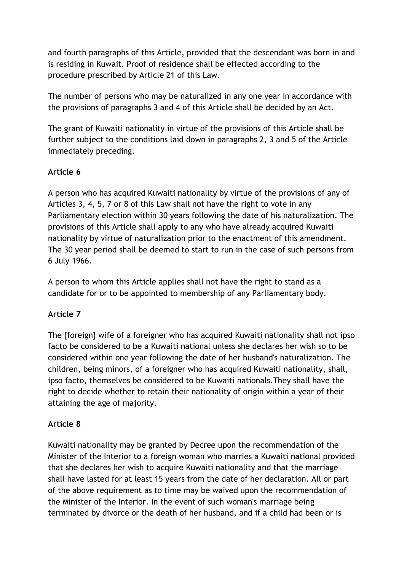and fourth paragraphs of this Article, provided that the descendant was born in and is residing in Kuwait. Proof of residence shall be effected according to the procedure prescribed by Article 21 of this Law.

The number of persons who may be naturalized in any one year in accordance with the provisions of paragraphs 3 and 4 of this Article shall be decided by an Act.

The grant of Kuwaiti nationality in virtue of the provisions of this Article shall be further subject to the conditions laid down in paragraphs 2, 3 and 5 of the Article immediately preceding.

# **Article 6**

A person who has acquired Kuwaiti nationality by virtue of the provisions of any of Articles 3, 4, 5, 7 or 8 of this Law shall not have the right to vote in any Parliamentary election within 30 years following the date of his naturalization. The provisions of this Article shall apply to any who have already acquired Kuwaiti nationality by virtue of naturalization prior to the enactment of this amendment. The 30 year period shall be deemed to start to run in the case of such persons from 6 July 1966.

A person to whom this Article applies shall not have the right to stand as a candidate for or to be appointed to membership of any Parliamentary body.

# **Article 7**

The [foreign] wife of a foreigner who has acquired Kuwaiti nationality shall not ipso facto be considered to be a Kuwaiti national unless she declares her wish so to be considered within one year following the date of her husband's naturalization. The children, being minors, of a foreigner who has acquired Kuwaiti nationality, shall, ipso facto, themselves be considered to be Kuwaiti nationals.They shall have the right to decide whether to retain their nationality of origin within a year of their attaining the age of majority.

## **Article 8**

Kuwaiti nationality may be granted by Decree upon the recommendation of the Minister of the Interior to a foreign woman who marries a Kuwaiti national provided that she declares her wish to acquire Kuwaiti nationality and that the marriage shall have lasted for at least 15 years from the date of her declaration. All or part of the above requirement as to time may be waived upon the recommendation of the Minister of the Interior. In the event of such woman's marriage being terminated by divorce or the death of her husband, and if a child had been or is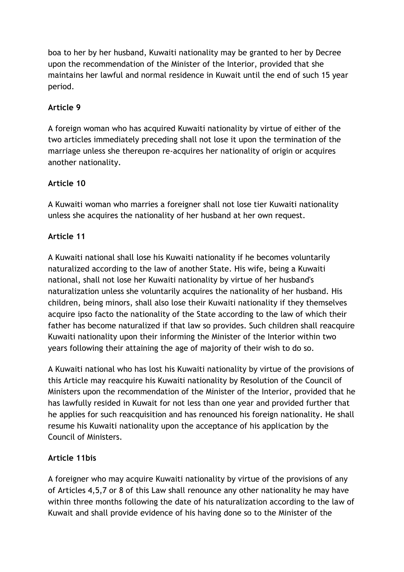boa to her by her husband, Kuwaiti nationality may be granted to her by Decree upon the recommendation of the Minister of the Interior, provided that she maintains her lawful and normal residence in Kuwait until the end of such 15 year period.

## **Article 9**

A foreign woman who has acquired Kuwaiti nationality by virtue of either of the two articles immediately preceding shall not lose it upon the termination of the marriage unless she thereupon re-acquires her nationality of origin or acquires another nationality.

# **Article 10**

A Kuwaiti woman who marries a foreigner shall not lose tier Kuwaiti nationality unless she acquires the nationality of her husband at her own request.

# **Article 11**

A Kuwaiti national shall lose his Kuwaiti nationality if he becomes voluntarily naturalized according to the law of another State. His wife, being a Kuwaiti national, shall not lose her Kuwaiti nationality by virtue of her husband's naturalization unless she voluntarily acquires the nationality of her husband. His children, being minors, shall also lose their Kuwaiti nationality if they themselves acquire ipso facto the nationality of the State according to the law of which their father has become naturalized if that law so provides. Such children shall reacquire Kuwaiti nationality upon their informing the Minister of the Interior within two years following their attaining the age of majority of their wish to do so.

A Kuwaiti national who has lost his Kuwaiti nationality by virtue of the provisions of this Article may reacquire his Kuwaiti nationality by Resolution of the Council of Ministers upon the recommendation of the Minister of the Interior, provided that he has lawfully resided in Kuwait for not less than one year and provided further that he applies for such reacquisition and has renounced his foreign nationality. He shall resume his Kuwaiti nationality upon the acceptance of his application by the Council of Ministers.

## **Article 11bis**

A foreigner who may acquire Kuwaiti nationality by virtue of the provisions of any of Articles 4,5,7 or 8 of this Law shall renounce any other nationality he may have within three months following the date of his naturalization according to the law of Kuwait and shall provide evidence of his having done so to the Minister of the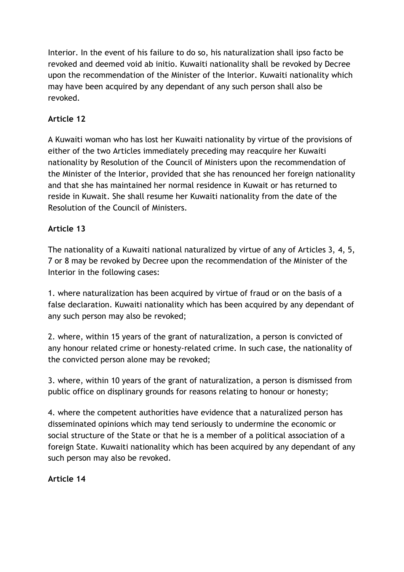Interior. In the event of his failure to do so, his naturalization shall ipso facto be revoked and deemed void ab initio. Kuwaiti nationality shall be revoked by Decree upon the recommendation of the Minister of the Interior. Kuwaiti nationality which may have been acquired by any dependant of any such person shall also be revoked.

## **Article 12**

A Kuwaiti woman who has lost her Kuwaiti nationality by virtue of the provisions of either of the two Articles immediately preceding may reacquire her Kuwaiti nationality by Resolution of the Council of Ministers upon the recommendation of the Minister of the Interior, provided that she has renounced her foreign nationality and that she has maintained her normal residence in Kuwait or has returned to reside in Kuwait. She shall resume her Kuwaiti nationality from the date of the Resolution of the Council of Ministers.

## **Article 13**

The nationality of a Kuwaiti national naturalized by virtue of any of Articles 3, 4, 5, 7 or 8 may be revoked by Decree upon the recommendation of the Minister of the Interior in the following cases:

1. where naturalization has been acquired by virtue of fraud or on the basis of a false declaration. Kuwaiti nationality which has been acquired by any dependant of any such person may also be revoked;

2. where, within 15 years of the grant of naturalization, a person is convicted of any honour related crime or honesty-related crime. In such case, the nationality of the convicted person alone may be revoked;

3. where, within 10 years of the grant of naturalization, a person is dismissed from public office on displinary grounds for reasons relating to honour or honesty;

4. where the competent authorities have evidence that a naturalized person has disseminated opinions which may tend seriously to undermine the economic or social structure of the State or that he is a member of a political association of a foreign State. Kuwaiti nationality which has been acquired by any dependant of any such person may also be revoked.

**Article 14**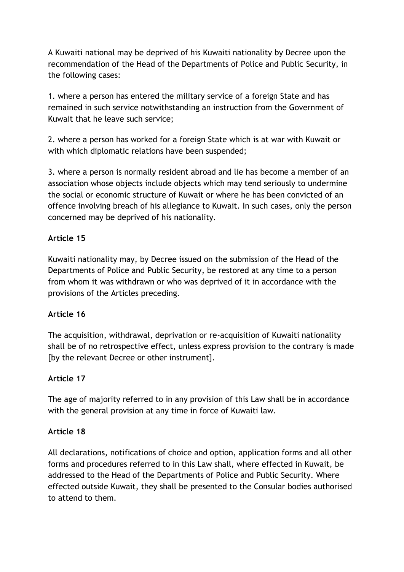A Kuwaiti national may be deprived of his Kuwaiti nationality by Decree upon the recommendation of the Head of the Departments of Police and Public Security, in the following cases:

1. where a person has entered the military service of a foreign State and has remained in such service notwithstanding an instruction from the Government of Kuwait that he leave such service;

2. where a person has worked for a foreign State which is at war with Kuwait or with which diplomatic relations have been suspended;

3. where a person is normally resident abroad and lie has become a member of an association whose objects include objects which may tend seriously to undermine the social or economic structure of Kuwait or where he has been convicted of an offence involving breach of his allegiance to Kuwait. In such cases, only the person concerned may be deprived of his nationality.

## **Article 15**

Kuwaiti nationality may, by Decree issued on the submission of the Head of the Departments of Police and Public Security, be restored at any time to a person from whom it was withdrawn or who was deprived of it in accordance with the provisions of the Articles preceding.

## **Article 16**

The acquisition, withdrawal, deprivation or re-acquisition of Kuwaiti nationality shall be of no retrospective effect, unless express provision to the contrary is made [by the relevant Decree or other instrument].

## **Article 17**

The age of majority referred to in any provision of this Law shall be in accordance with the general provision at any time in force of Kuwaiti law.

## **Article 18**

All declarations, notifications of choice and option, application forms and all other forms and procedures referred to in this Law shall, where effected in Kuwait, be addressed to the Head of the Departments of Police and Public Security. Where effected outside Kuwait, they shall be presented to the Consular bodies authorised to attend to them.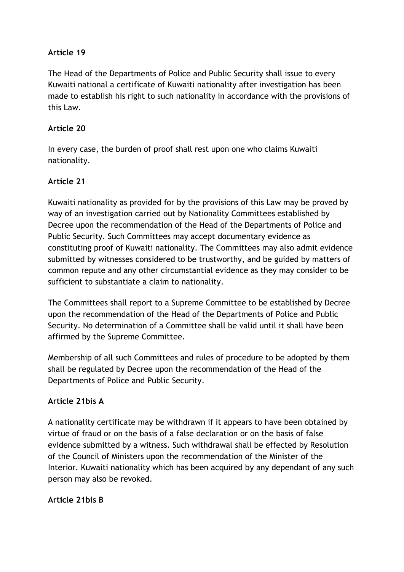#### **Article 19**

The Head of the Departments of Police and Public Security shall issue to every Kuwaiti national a certificate of Kuwaiti nationality after investigation has been made to establish his right to such nationality in accordance with the provisions of this Law.

#### **Article 20**

In every case, the burden of proof shall rest upon one who claims Kuwaiti nationality.

## **Article 21**

Kuwaiti nationality as provided for by the provisions of this Law may be proved by way of an investigation carried out by Nationality Committees established by Decree upon the recommendation of the Head of the Departments of Police and Public Security. Such Committees may accept documentary evidence as constituting proof of Kuwaiti nationality. The Committees may also admit evidence submitted by witnesses considered to be trustworthy, and be guided by matters of common repute and any other circumstantial evidence as they may consider to be sufficient to substantiate a claim to nationality.

The Committees shall report to a Supreme Committee to be established by Decree upon the recommendation of the Head of the Departments of Police and Public Security. No determination of a Committee shall be valid until it shall have been affirmed by the Supreme Committee.

Membership of all such Committees and rules of procedure to be adopted by them shall be regulated by Decree upon the recommendation of the Head of the Departments of Police and Public Security.

#### **Article 21bis A**

A nationality certificate may be withdrawn if it appears to have been obtained by virtue of fraud or on the basis of a false declaration or on the basis of false evidence submitted by a witness. Such withdrawal shall be effected by Resolution of the Council of Ministers upon the recommendation of the Minister of the Interior. Kuwaiti nationality which has been acquired by any dependant of any such person may also be revoked.

#### **Article 21bis B**